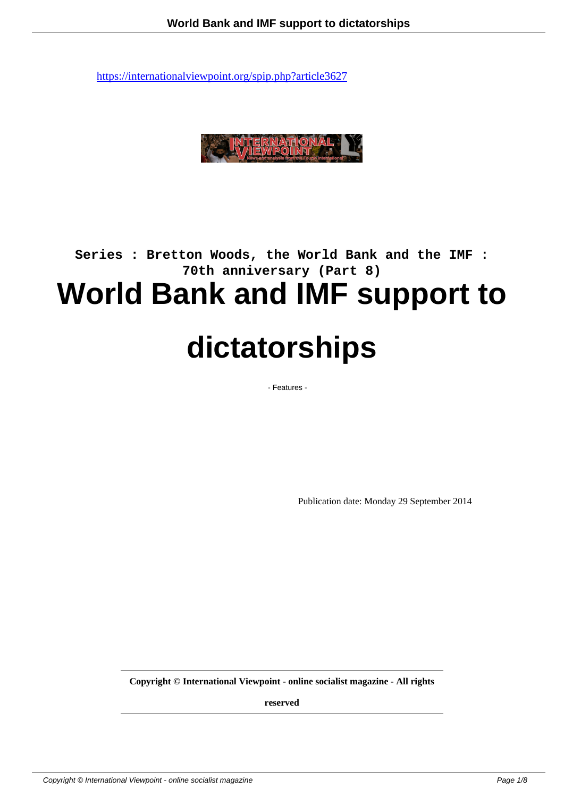

## **Series : Bretton Woods, the World Bank and the IMF : 70th anniversary (Part 8) World Bank and IMF support to**

# **dictatorships**

- Features -

Publication date: Monday 29 September 2014

**Copyright © International Viewpoint - online socialist magazine - All rights**

**reserved**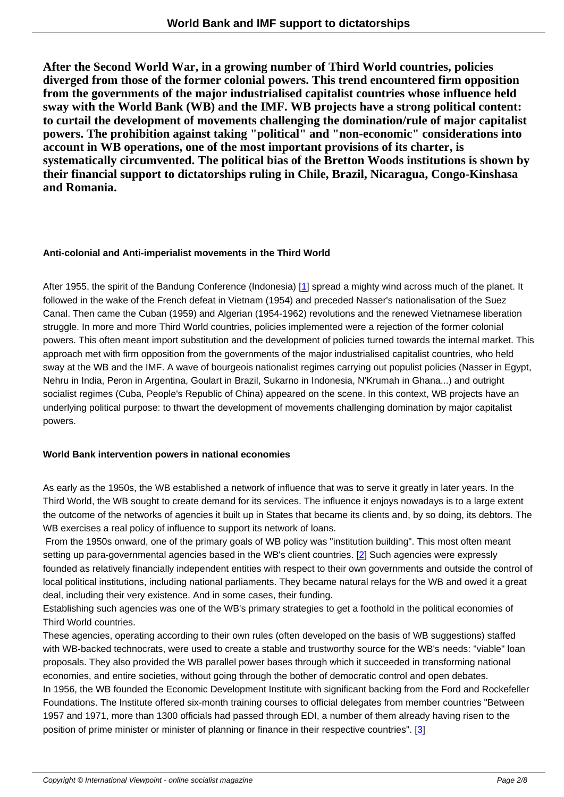**After the Second World War, in a growing number of Third World countries, policies diverged from those of the former colonial powers. This trend encountered firm opposition from the governments of the major industrialised capitalist countries whose influence held sway with the World Bank (WB) and the IMF. WB projects have a strong political content: to curtail the development of movements challenging the domination/rule of major capitalist powers. The prohibition against taking "political" and "non-economic" considerations into account in WB operations, one of the most important provisions of its charter, is systematically circumvented. The political bias of the Bretton Woods institutions is shown by their financial support to dictatorships ruling in Chile, Brazil, Nicaragua, Congo-Kinshasa and Romania.**

## **Anti-colonial and Anti-imperialist movements in the Third World**

After 1955, the spirit of the Bandung Conference (Indonesia) [1] spread a mighty wind across much of the planet. It followed in the wake of the French defeat in Vietnam (1954) and preceded Nasser's nationalisation of the Suez Canal. Then came the Cuban (1959) and Algerian (1954-1962) revolutions and the renewed Vietnamese liberation struggle. In more and more Third World countries, policies implemented were a rejection of the former colonial powers. This often meant import substitution and the develop[me](#nb1)nt of policies turned towards the internal market. This approach met with firm opposition from the governments of the major industrialised capitalist countries, who held sway at the WB and the IMF. A wave of bourgeois nationalist regimes carrying out populist policies (Nasser in Egypt, Nehru in India, Peron in Argentina, Goulart in Brazil, Sukarno in Indonesia, N'Krumah in Ghana...) and outright socialist regimes (Cuba, People's Republic of China) appeared on the scene. In this context, WB projects have an underlying political purpose: to thwart the development of movements challenging domination by major capitalist powers.

## **World Bank intervention powers in national economies**

As early as the 1950s, the WB established a network of influence that was to serve it greatly in later years. In the Third World, the WB sought to create demand for its services. The influence it enjoys nowadays is to a large extent the outcome of the networks of agencies it built up in States that became its clients and, by so doing, its debtors. The WB exercises a real policy of influence to support its network of loans.

 From the 1950s onward, one of the primary goals of WB policy was "institution building". This most often meant setting up para-governmental agencies based in the WB's client countries. [2] Such agencies were expressly founded as relatively financially independent entities with respect to their own governments and outside the control of local political institutions, including national parliaments. They became natural relays for the WB and owed it a great deal, including their very existence. And in some cases, their funding.

Establishing such agencies was one of the WB's primary strategies to get a [fo](#nb2)othold in the political economies of Third World countries.

These agencies, operating according to their own rules (often developed on the basis of WB suggestions) staffed with WB-backed technocrats, were used to create a stable and trustworthy source for the WB's needs: "viable" loan proposals. They also provided the WB parallel power bases through which it succeeded in transforming national economies, and entire societies, without going through the bother of democratic control and open debates. In 1956, the WB founded the Economic Development Institute with significant backing from the Ford and Rockefeller Foundations. The Institute offered six-month training courses to official delegates from member countries "Between 1957 and 1971, more than 1300 officials had passed through EDI, a number of them already having risen to the position of prime minister or minister of planning or finance in their respective countries". [3]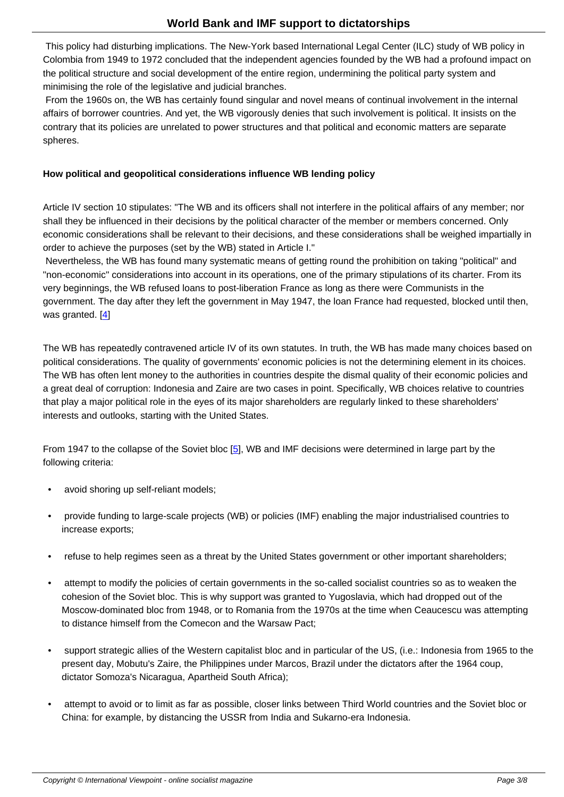This policy had disturbing implications. The New-York based International Legal Center (ILC) study of WB policy in Colombia from 1949 to 1972 concluded that the independent agencies founded by the WB had a profound impact on the political structure and social development of the entire region, undermining the political party system and minimising the role of the legislative and judicial branches.

 From the 1960s on, the WB has certainly found singular and novel means of continual involvement in the internal affairs of borrower countries. And yet, the WB vigorously denies that such involvement is political. It insists on the contrary that its policies are unrelated to power structures and that political and economic matters are separate spheres.

## **How political and geopolitical considerations influence WB lending policy**

Article IV section 10 stipulates: "The WB and its officers shall not interfere in the political affairs of any member; nor shall they be influenced in their decisions by the political character of the member or members concerned. Only economic considerations shall be relevant to their decisions, and these considerations shall be weighed impartially in order to achieve the purposes (set by the WB) stated in Article I."

 Nevertheless, the WB has found many systematic means of getting round the prohibition on taking "political" and "non-economic" considerations into account in its operations, one of the primary stipulations of its charter. From its very beginnings, the WB refused loans to post-liberation France as long as there were Communists in the government. The day after they left the government in May 1947, the loan France had requested, blocked until then, was granted.  $[4]$ 

The WB has repeatedly contravened article IV of its own statutes. In truth, the WB has made many choices based on political consi[de](#nb4)rations. The quality of governments' economic policies is not the determining element in its choices. The WB has often lent money to the authorities in countries despite the dismal quality of their economic policies and a great deal of corruption: Indonesia and Zaire are two cases in point. Specifically, WB choices relative to countries that play a major political role in the eyes of its major shareholders are regularly linked to these shareholders' interests and outlooks, starting with the United States.

From 1947 to the collapse of the Soviet bloc [5], WB and IMF decisions were determined in large part by the following criteria:

- avoid shoring up self-reliant models;
- provide funding to large-scale projects (WB) or policies (IMF) enabling the major industrialised countries to increase exports;
- refuse to help regimes seen as a threat by the United States government or other important shareholders;
- attempt to modify the policies of certain governments in the so-called socialist countries so as to weaken the cohesion of the Soviet bloc. This is why support was granted to Yugoslavia, which had dropped out of the Moscow-dominated bloc from 1948, or to Romania from the 1970s at the time when Ceaucescu was attempting to distance himself from the Comecon and the Warsaw Pact;
- support strategic allies of the Western capitalist bloc and in particular of the US, (i.e.: Indonesia from 1965 to the present day, Mobutu's Zaire, the Philippines under Marcos, Brazil under the dictators after the 1964 coup, dictator Somoza's Nicaragua, Apartheid South Africa);
- attempt to avoid or to limit as far as possible, closer links between Third World countries and the Soviet bloc or China: for example, by distancing the USSR from India and Sukarno-era Indonesia.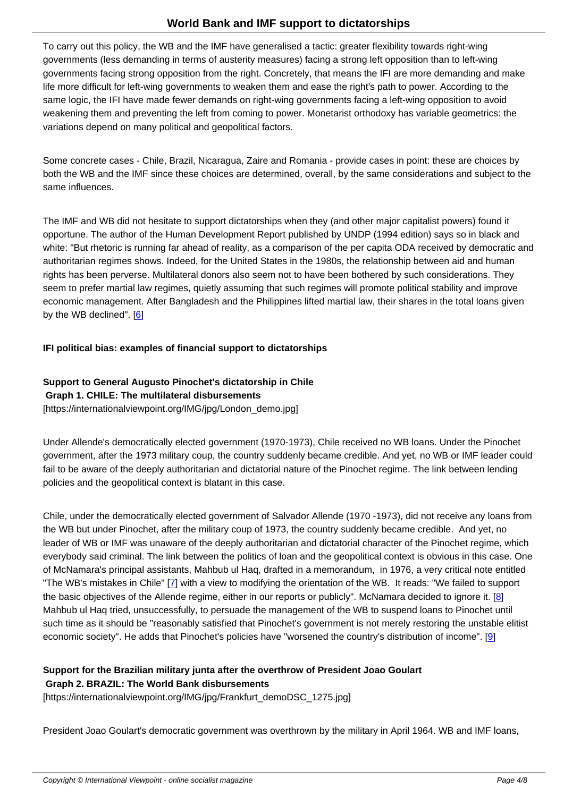y out this policy, the WD and the IMF have generalised a tactic. greater hexibility towards right-wing governments (less demanding in terms of austerity measures) facing a strong left opposition than to left-wing governments facing strong opposition from the right. Concretely, that means the IFI are more demanding and make life more difficult for left-wing governments to weaken them and ease the right's path to power. According to the same logic, the IFI have made fewer demands on right-wing governments facing a left-wing opposition to avoid weakening them and preventing the left from coming to power. Monetarist orthodoxy has variable geometrics: the variations depend on many political and geopolitical factors.

Some concrete cases - Chile, Brazil, Nicaragua, Zaire and Romania - provide cases in point: these are choices by both the WB and the IMF since these choices are determined, overall, by the same considerations and subject to the same influences.

The IMF and WB did not hesitate to support dictatorships when they (and other major capitalist powers) found it opportune. The author of the Human Development Report published by UNDP (1994 edition) says so in black and white: "But rhetoric is running far ahead of reality, as a comparison of the per capita ODA received by democratic and authoritarian regimes shows. Indeed, for the United States in the 1980s, the relationship between aid and human rights has been perverse. Multilateral donors also seem not to have been bothered by such considerations. They seem to prefer martial law regimes, quietly assuming that such regimes will promote political stability and improve economic management. After Bangladesh and the Philippines lifted martial law, their shares in the total loans given by the WB declined". [6]

## **IFI political bias: examples of financial support to dictatorships**

## **Support to General Augusto Pinochet's dictatorship in Chile**

#### **Graph 1. CHILE: The multilateral disbursements**

[https://internationalviewpoint.org/IMG/jpg/London\_demo.jpg]

Under Allende's democratically elected government (1970-1973), Chile received no WB loans. Under the Pinochet government, after the 1973 military coup, the country suddenly became credible. And yet, no WB or IMF leader could fail to be aware of the deeply authoritarian and dictatorial nature of the Pinochet regime. The link between lending policies and the geopolitical context is blatant in this case.

Chile, under the democratically elected government of Salvador Allende (1970 -1973), did not receive any loans from the WB but under Pinochet, after the military coup of 1973, the country suddenly became credible. And yet, no leader of WB or IMF was unaware of the deeply authoritarian and dictatorial character of the Pinochet regime, which everybody said criminal. The link between the politics of loan and the geopolitical context is obvious in this case. One of McNamara's principal assistants, Mahbub ul Haq, drafted in a memorandum, in 1976, a very critical note entitled "The WB's mistakes in Chile" [7] with a view to modifying the orientation of the WB. It reads: "We failed to support the basic objectives of the Allende regime, either in our reports or publicly". McNamara decided to ignore it. [8] Mahbub ul Haq tried, unsuccessfully, to persuade the management of the WB to suspend loans to Pinochet until such time as it should be "reasonably satisfied that Pinochet's government is not merely restoring the unstable elitist economic society". He adds t[ha](#nb7)t Pinochet's policies have "worsened the country's distribution of income". [9]

## **Support for the Brazilian military junta after the overthrow of President Joao Goulart**

## **Graph 2. BRAZIL: The World Bank disbursements**

[https://internationalviewpoint.org/IMG/jpg/Frankfurt\_demoDSC\_1275.jpg]

President Joao Goulart's democratic government was overthrown by the military in April 1964. WB and IMF loans,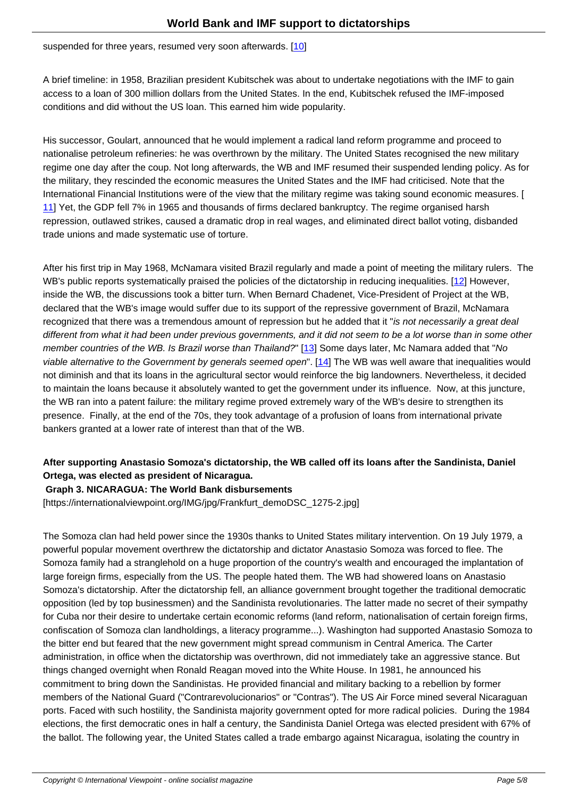A brief timeline: in 1958, Brazilian president Kubitschek was about to undertake negotiations with the IMF to gain access to a loan of 300 million dollars from the United State[s. I](#nb10)n the end, Kubitschek refused the IMF-imposed conditions and did without the US loan. This earned him wide popularity.

His successor, Goulart, announced that he would implement a radical land reform programme and proceed to nationalise petroleum refineries: he was overthrown by the military. The United States recognised the new military regime one day after the coup. Not long afterwards, the WB and IMF resumed their suspended lending policy. As for the military, they rescinded the economic measures the United States and the IMF had criticised. Note that the International Financial Institutions were of the view that the military regime was taking sound economic measures. [ 11] Yet, the GDP fell 7% in 1965 and thousands of firms declared bankruptcy. The regime organised harsh repression, outlawed strikes, caused a dramatic drop in real wages, and eliminated direct ballot voting, disbanded trade unions and made systematic use of torture.

After his first trip in May 1968, McNamara visited Brazil regularly and made a point of meeting the military rulers. The WB's public reports systematically praised the policies of the dictatorship in reducing inequalities. [12] However, inside the WB, the discussions took a bitter turn. When Bernard Chadenet, Vice-President of Project at the WB, declared that the WB's image would suffer due to its support of the repressive government of Brazil, McNamara recognized that there was a tremendous amount of repression but he added that it "is not necessarily a great deal different from what it had been under previous governments, and it did not seem to be a lot worse [tha](#nb12)n in some other member countries of the WB. Is Brazil worse than Thailand?" [13] Some days later, Mc Namara added that "No viable alternative to the Government by generals seemed open". [14] The WB was well aware that inequalities would not diminish and that its loans in the agricultural sector would reinforce the big landowners. Nevertheless, it decided to maintain the loans because it absolutely wanted to get the government under its influence. Now, at this juncture, the WB ran into a patent failure: the military regime proved ext[rem](#nb13)ely wary of the WB's desire to strengthen its presence. Finally, at the end of the 70s, they took advantage of a [pr](#nb14)ofusion of loans from international private bankers granted at a lower rate of interest than that of the WB.

## **After supporting Anastasio Somoza's dictatorship, the WB called off its loans after the Sandinista, Daniel Ortega, was elected as president of Nicaragua.**

## **Graph 3. NICARAGUA: The World Bank disbursements**

[https://internationalviewpoint.org/IMG/jpg/Frankfurt\_demoDSC\_1275-2.jpg]

The Somoza clan had held power since the 1930s thanks to United States military intervention. On 19 July 1979, a powerful popular movement overthrew the dictatorship and dictator Anastasio Somoza was forced to flee. The Somoza family had a stranglehold on a huge proportion of the country's wealth and encouraged the implantation of large foreign firms, especially from the US. The people hated them. The WB had showered loans on Anastasio Somoza's dictatorship. After the dictatorship fell, an alliance government brought together the traditional democratic opposition (led by top businessmen) and the Sandinista revolutionaries. The latter made no secret of their sympathy for Cuba nor their desire to undertake certain economic reforms (land reform, nationalisation of certain foreign firms, confiscation of Somoza clan landholdings, a literacy programme...). Washington had supported Anastasio Somoza to the bitter end but feared that the new government might spread communism in Central America. The Carter administration, in office when the dictatorship was overthrown, did not immediately take an aggressive stance. But things changed overnight when Ronald Reagan moved into the White House. In 1981, he announced his commitment to bring down the Sandinistas. He provided financial and military backing to a rebellion by former members of the National Guard ("Contrarevolucionarios" or "Contras"). The US Air Force mined several Nicaraguan ports. Faced with such hostility, the Sandinista majority government opted for more radical policies. During the 1984 elections, the first democratic ones in half a century, the Sandinista Daniel Ortega was elected president with 67% of the ballot. The following year, the United States called a trade embargo against Nicaragua, isolating the country in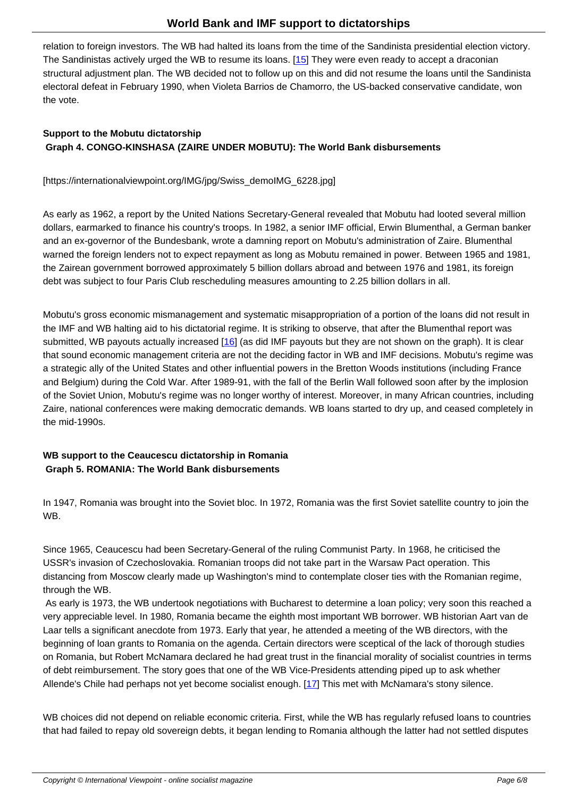relation to foreign investors. The WB had halted its loans from the time of the Sandinista presidential election victory. The Sandinistas actively urged the WB to resume its loans. [15] They were even ready to accept a draconian structural adjustment plan. The WB decided not to follow up on this and did not resume the loans until the Sandinista electoral defeat in February 1990, when Violeta Barrios de Chamorro, the US-backed conservative candidate, won the vote.

## **Support to the Mobutu dictatorship Graph 4. CONGO-KINSHASA (ZAIRE UNDER MOBUTU): The World Bank disbursements**

[https://internationalviewpoint.org/IMG/jpg/Swiss\_demoIMG\_6228.jpg]

As early as 1962, a report by the United Nations Secretary-General revealed that Mobutu had looted several million dollars, earmarked to finance his country's troops. In 1982, a senior IMF official, Erwin Blumenthal, a German banker and an ex-governor of the Bundesbank, wrote a damning report on Mobutu's administration of Zaire. Blumenthal warned the foreign lenders not to expect repayment as long as Mobutu remained in power. Between 1965 and 1981, the Zairean government borrowed approximately 5 billion dollars abroad and between 1976 and 1981, its foreign debt was subject to four Paris Club rescheduling measures amounting to 2.25 billion dollars in all.

Mobutu's gross economic mismanagement and systematic misappropriation of a portion of the loans did not result in the IMF and WB halting aid to his dictatorial regime. It is striking to observe, that after the Blumenthal report was submitted, WB payouts actually increased [16] (as did IMF payouts but they are not shown on the graph). It is clear that sound economic management criteria are not the deciding factor in WB and IMF decisions. Mobutu's regime was a strategic ally of the United States and other influential powers in the Bretton Woods institutions (including France and Belgium) during the Cold War. After 1989-91, with the fall of the Berlin Wall followed soon after by the implosion of the Soviet Union, Mobutu's regime was [no l](#nb16)onger worthy of interest. Moreover, in many African countries, including Zaire, national conferences were making democratic demands. WB loans started to dry up, and ceased completely in the mid-1990s.

## **WB support to the Ceaucescu dictatorship in Romania Graph 5. ROMANIA: The World Bank disbursements**

In 1947, Romania was brought into the Soviet bloc. In 1972, Romania was the first Soviet satellite country to join the WB.

Since 1965, Ceaucescu had been Secretary-General of the ruling Communist Party. In 1968, he criticised the USSR's invasion of Czechoslovakia. Romanian troops did not take part in the Warsaw Pact operation. This distancing from Moscow clearly made up Washington's mind to contemplate closer ties with the Romanian regime, through the WB.

 As early is 1973, the WB undertook negotiations with Bucharest to determine a loan policy; very soon this reached a very appreciable level. In 1980, Romania became the eighth most important WB borrower. WB historian Aart van de Laar tells a significant anecdote from 1973. Early that year, he attended a meeting of the WB directors, with the beginning of loan grants to Romania on the agenda. Certain directors were sceptical of the lack of thorough studies on Romania, but Robert McNamara declared he had great trust in the financial morality of socialist countries in terms of debt reimbursement. The story goes that one of the WB Vice-Presidents attending piped up to ask whether Allende's Chile had perhaps not yet become socialist enough. [17] This met with McNamara's stony silence.

WB choices did not depend on reliable economic criteria. First, while the WB has regularly refused loans to countries that had failed to repay old sovereign debts, it began lending to [Ro](#nb17)mania although the latter had not settled disputes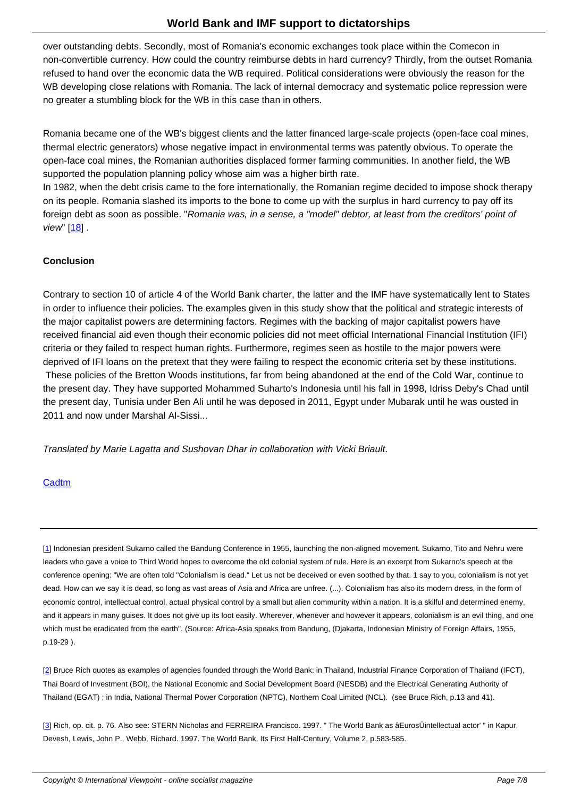over outstanding debts. Secondly, most of Romania's economic exchanges took place within the Comecon in non-convertible currency. How could the country reimburse debts in hard currency? Thirdly, from the outset Romania refused to hand over the economic data the WB required. Political considerations were obviously the reason for the WB developing close relations with Romania. The lack of internal democracy and systematic police repression were no greater a stumbling block for the WB in this case than in others.

Romania became one of the WB's biggest clients and the latter financed large-scale projects (open-face coal mines, thermal electric generators) whose negative impact in environmental terms was patently obvious. To operate the open-face coal mines, the Romanian authorities displaced former farming communities. In another field, the WB supported the population planning policy whose aim was a higher birth rate.

In 1982, when the debt crisis came to the fore internationally, the Romanian regime decided to impose shock therapy on its people. Romania slashed its imports to the bone to come up with the surplus in hard currency to pay off its foreign debt as soon as possible. "Romania was, in a sense, a "model" debtor, at least from the creditors' point of view" [18] .

## **Conclusion**

Contrary to section 10 of article 4 of the World Bank charter, the latter and the IMF have systematically lent to States in order to influence their policies. The examples given in this study show that the political and strategic interests of the major capitalist powers are determining factors. Regimes with the backing of major capitalist powers have received financial aid even though their economic policies did not meet official International Financial Institution (IFI) criteria or they failed to respect human rights. Furthermore, regimes seen as hostile to the major powers were deprived of IFI loans on the pretext that they were failing to respect the economic criteria set by these institutions. These policies of the Bretton Woods institutions, far from being abandoned at the end of the Cold War, continue to the present day. They have supported Mohammed Suharto's Indonesia until his fall in 1998, Idriss Deby's Chad until the present day, Tunisia under Ben Ali until he was deposed in 2011, Egypt under Mubarak until he was ousted in 2011 and now under Marshal Al-Sissi...

Translated by Marie Lagatta and Sushovan Dhar in collaboration with Vicki Briault.

## **Cadtm**

[1] Indonesian president Sukarno called the Bandung Conference in 1955, launching the non-aligned movement. Sukarno, Tito and Nehru were leaders who gave a voice to Third World hopes to overcome the old colonial system of rule. Here is an excerpt from Sukarno's speech at the conference opening: "We are often told "Colonialism is dead." Let us not be deceived or even soothed by that. 1 say to you, colonialism is not yet dead. How can we say it is dead, so long as vast areas of Asia and Africa are unfree. (...). Colonialism has also its modern dress, in the form of [ec](#nh1)onomic control, intellectual control, actual physical control by a small but alien community within a nation. It is a skilful and determined enemy, and it appears in many guises. It does not give up its loot easily. Wherever, whenever and however it appears, colonialism is an evil thing, and one which must be eradicated from the earth". (Source: Africa-Asia speaks from Bandung, (Djakarta, Indonesian Ministry of Foreign Affairs, 1955, p.19-29 ).

[2] Bruce Rich quotes as examples of agencies founded through the World Bank: in Thailand, Industrial Finance Corporation of Thailand (IFCT), Thai Board of Investment (BOI), the National Economic and Social Development Board (NESDB) and the Electrical Generating Authority of Thailand (EGAT) ; in India, National Thermal Power Corporation (NPTC), Northern Coal Limited (NCL). (see Bruce Rich, p.13 and 41).

[[3](#nh2)] Rich, op. cit. p. 76. Also see: STERN Nicholas and FERREIRA Francisco. 1997. " The World Bank as âEurosÜintellectual actor' " in Kapur, Devesh, Lewis, John P., Webb, Richard. 1997. The World Bank, Its First Half-Century, Volume 2, p.583-585.